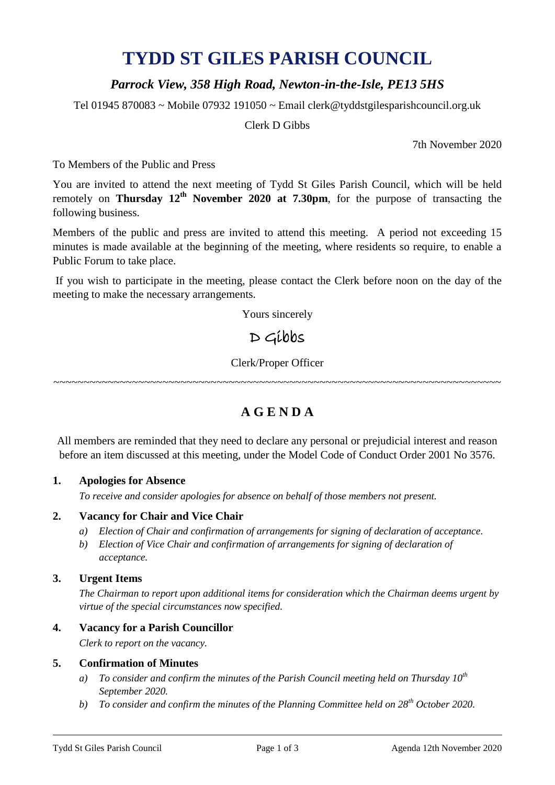# **TYDD ST GILES PARISH COUNCIL**

## *Parrock View, 358 High Road, Newton-in-the-Isle, PE13 5HS*

Tel 01945 870083 ~ Mobile 07932 191050 ~ Email clerk@tyddstgilesparishcouncil.org.uk

Clerk D Gibbs

7th November 2020

To Members of the Public and Press

You are invited to attend the next meeting of Tydd St Giles Parish Council, which will be held remotely on **Thursday 12<sup>th</sup> November** 2020 at 7.30pm, for the purpose of transacting the following business.

Members of the public and press are invited to attend this meeting. A period not exceeding 15 minutes is made available at the beginning of the meeting, where residents so require, to enable a Public Forum to take place.

If you wish to participate in the meeting, please contact the Clerk before noon on the day of the meeting to make the necessary arrangements.

Yours sincerely

# D Gibbs

Clerk/Proper Officer

~~~~~~~~~~~~~~~~~~~~~~~~~~~~~~~~~~~~~~~~~~~~~~~~~~~~~~~~~~~~~~~~~~~~~~~~~~

## **A G E N D A**

All members are reminded that they need to declare any personal or prejudicial interest and reason before an item discussed at this meeting, under the Model Code of Conduct Order 2001 No 3576.

#### **1. Apologies for Absence**

*To receive and consider apologies for absence on behalf of those members not present.*

#### **2. Vacancy for Chair and Vice Chair**

- *a) Election of Chair and confirmation of arrangements for signing of declaration of acceptance.*
- *b) Election of Vice Chair and confirmation of arrangements for signing of declaration of acceptance.*

### **3. Urgent Items**

*The Chairman to report upon additional items for consideration which the Chairman deems urgent by virtue of the special circumstances now specified.*

## **4. Vacancy for a Parish Councillor**

*Clerk to report on the vacancy.*

#### **5. Confirmation of Minutes**

- *a) To consider and confirm the minutes of the Parish Council meeting held on Thursday 10th September 2020.*
- *b) To consider and confirm the minutes of the Planning Committee held on 28th October 2020.*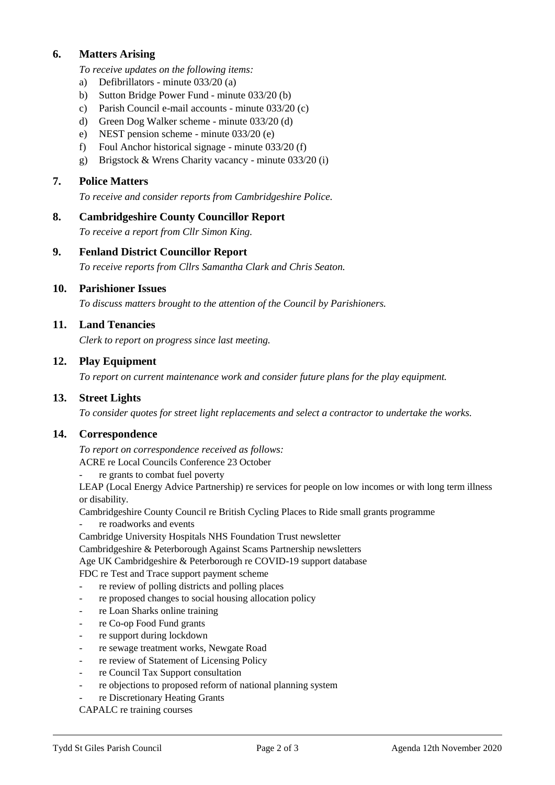## **6. Matters Arising**

*To receive updates on the following items:*

- a) Defibrillators minute 033/20 (a)
- b) Sutton Bridge Power Fund minute 033/20 (b)
- c) Parish Council e-mail accounts minute 033/20 (c)
- d) Green Dog Walker scheme minute 033/20 (d)
- e) NEST pension scheme minute 033/20 (e)
- f) Foul Anchor historical signage minute 033/20 (f)
- g) Brigstock & Wrens Charity vacancy minute 033/20 (i)

#### **7. Police Matters**

*To receive and consider reports from Cambridgeshire Police.*

#### **8. Cambridgeshire County Councillor Report**

*To receive a report from Cllr Simon King.*

## **9. Fenland District Councillor Report**

*To receive reports from Cllrs Samantha Clark and Chris Seaton.*

#### **10. Parishioner Issues**

*To discuss matters brought to the attention of the Council by Parishioners.*

#### **11. Land Tenancies**

*Clerk to report on progress since last meeting.*

#### **12. Play Equipment**

*To report on current maintenance work and consider future plans for the play equipment.*

#### **13. Street Lights**

*To consider quotes for street light replacements and select a contractor to undertake the works.*

#### **14. Correspondence**

*To report on correspondence received as follows:*

ACRE re Local Councils Conference 23 October

re grants to combat fuel poverty

LEAP (Local Energy Advice Partnership) re services for people on low incomes or with long term illness or disability.

Cambridgeshire County Council re British Cycling Places to Ride small grants programme

re roadworks and events

Cambridge University Hospitals NHS Foundation Trust newsletter

Cambridgeshire & Peterborough Against Scams Partnership newsletters

Age UK Cambridgeshire & Peterborough re COVID-19 support database

FDC re Test and Trace support payment scheme

- re review of polling districts and polling places
- re proposed changes to social housing allocation policy
- re Loan Sharks online training
- re Co-op Food Fund grants
- re support during lockdown
- re sewage treatment works, Newgate Road
- re review of Statement of Licensing Policy
- re Council Tax Support consultation
- re objections to proposed reform of national planning system
- re Discretionary Heating Grants

CAPALC re training courses